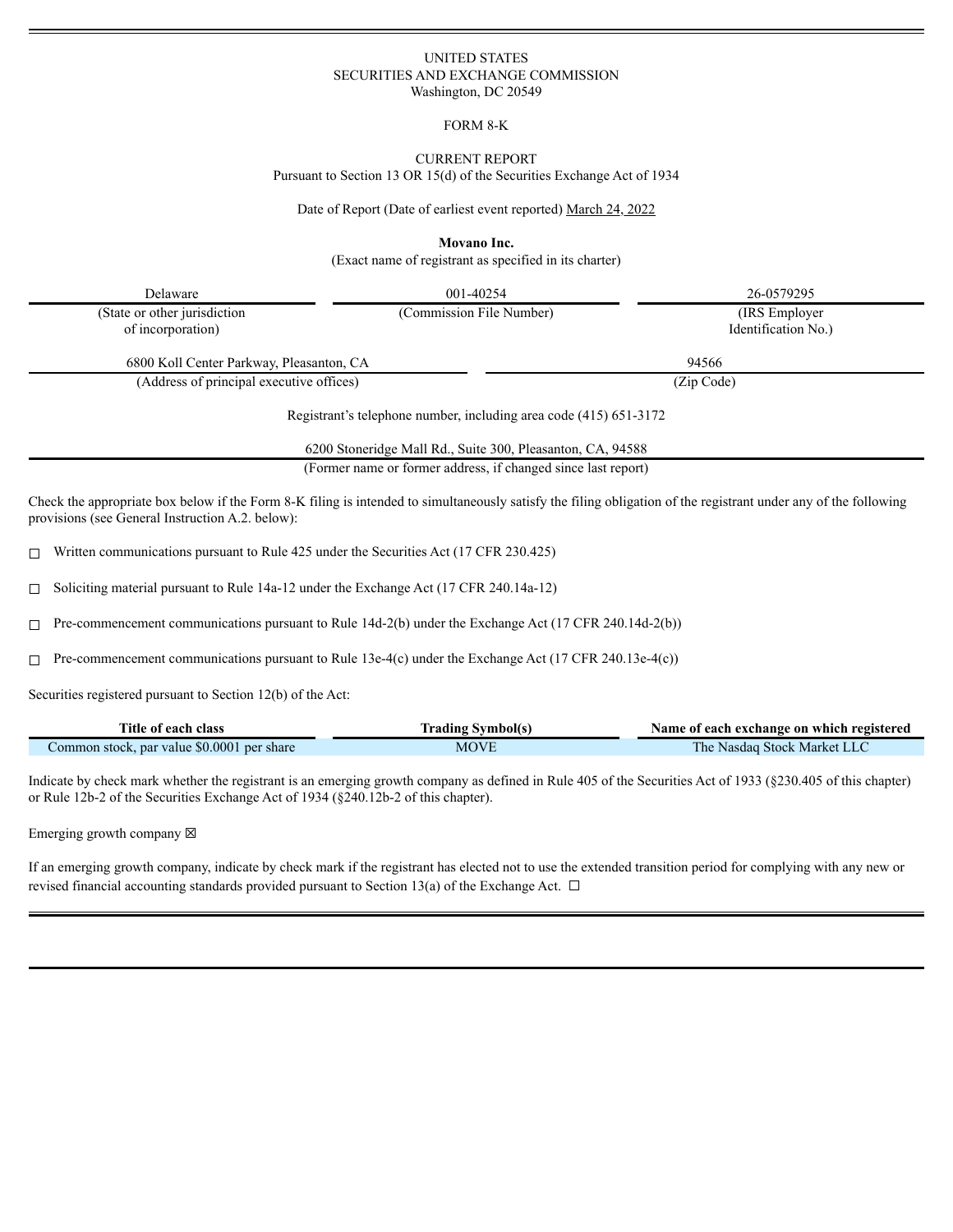# UNITED STATES SECURITIES AND EXCHANGE COMMISSION Washington, DC 20549

FORM 8-K

#### CURRENT REPORT

Pursuant to Section 13 OR 15(d) of the Securities Exchange Act of 1934

Date of Report (Date of earliest event reported) March 24, 2022

**Movano Inc.**

(Exact name of registrant as specified in its charter)

| Delaware                                          | 001-40254                                                         | 26-0579295                            |
|---------------------------------------------------|-------------------------------------------------------------------|---------------------------------------|
| (State or other jurisdiction<br>of incorporation) | (Commission File Number)                                          | (IRS Employer)<br>Identification No.) |
| 6800 Koll Center Parkway, Pleasanton, CA          |                                                                   | 94566                                 |
| (Address of principal executive offices)          |                                                                   | (Zip Code)                            |
|                                                   | Registrant's telephone number, including area code (415) 651-3172 |                                       |
|                                                   | 6200 Stoneridge Mall Rd., Suite 300, Pleasanton, CA, 94588        |                                       |
|                                                   | (Former name or former address, if changed since last report)     |                                       |
|                                                   |                                                                   |                                       |

Check the appropriate box below if the Form 8-K filing is intended to simultaneously satisfy the filing obligation of the registrant under any of the following provisions (see General Instruction A.2. below):

☐ Written communications pursuant to Rule 425 under the Securities Act (17 CFR 230.425)

☐ Soliciting material pursuant to Rule 14a-12 under the Exchange Act (17 CFR 240.14a-12)

 $\Box$  Pre-commencement communications pursuant to Rule 14d-2(b) under the Exchange Act (17 CFR 240.14d-2(b))

☐ Pre-commencement communications pursuant to Rule 13e-4(c) under the Exchange Act (17 CFR 240.13e-4(c))

Securities registered pursuant to Section 12(b) of the Act:

| Title of each class                        | <b>Trading Symbol(s)</b> | Name of each exchange on which registered |  |  |  |  |  |
|--------------------------------------------|--------------------------|-------------------------------------------|--|--|--|--|--|
| Common stock, par value \$0.0001 per share | MOVE                     | The Nasdaq Stock Market LLC               |  |  |  |  |  |

Indicate by check mark whether the registrant is an emerging growth company as defined in Rule 405 of the Securities Act of 1933 (§230.405 of this chapter) or Rule 12b-2 of the Securities Exchange Act of 1934 (§240.12b-2 of this chapter).

Emerging growth company  $\boxtimes$ 

If an emerging growth company, indicate by check mark if the registrant has elected not to use the extended transition period for complying with any new or revised financial accounting standards provided pursuant to Section 13(a) of the Exchange Act.  $\Box$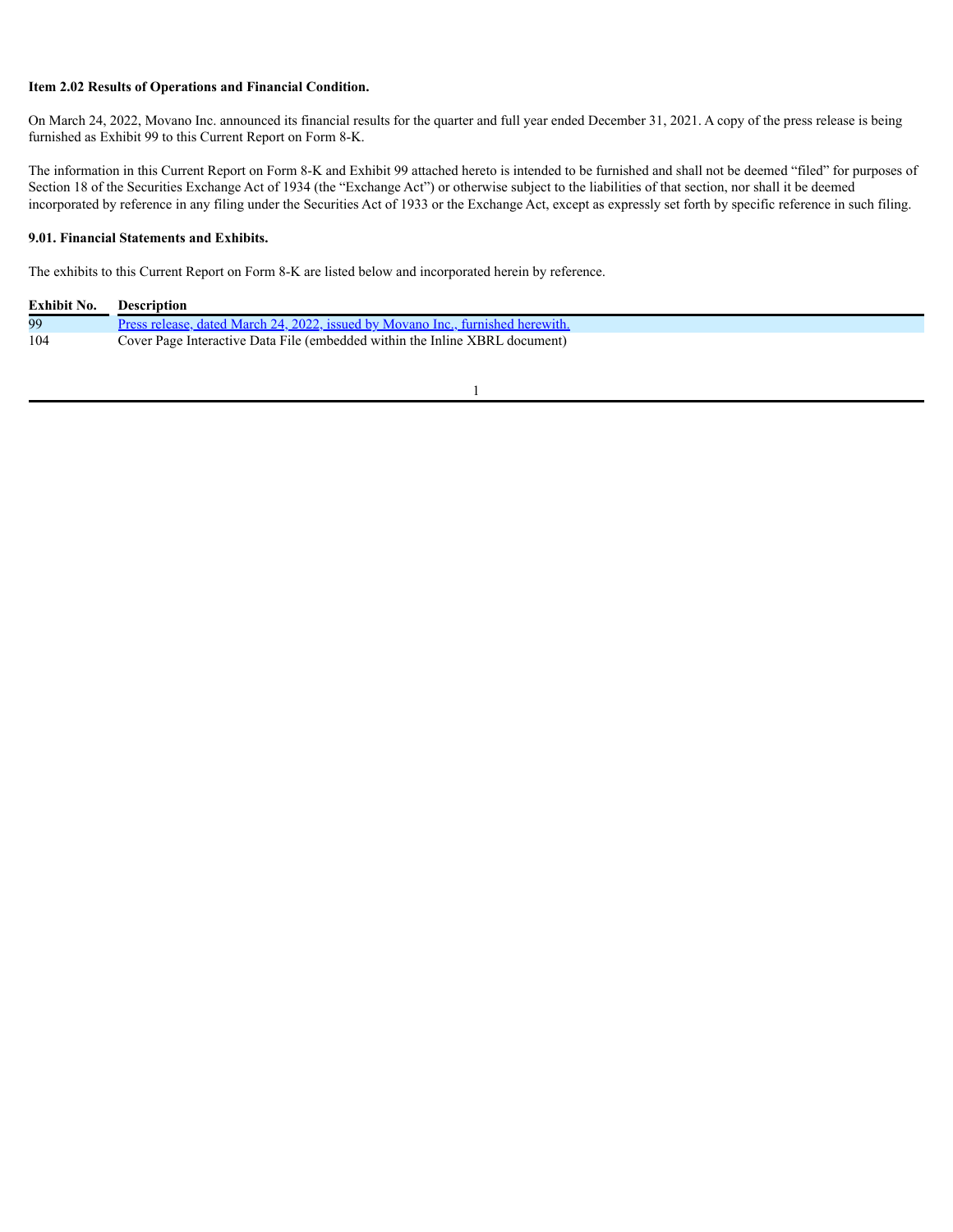## **Item 2.02 Results of Operations and Financial Condition.**

On March 24, 2022, Movano Inc. announced its financial results for the quarter and full year ended December 31, 2021. A copy of the press release is being furnished as Exhibit 99 to this Current Report on Form 8-K.

The information in this Current Report on Form 8-K and Exhibit 99 attached hereto is intended to be furnished and shall not be deemed "filed" for purposes of Section 18 of the Securities Exchange Act of 1934 (the "Exchange Act") or otherwise subject to the liabilities of that section, nor shall it be deemed incorporated by reference in any filing under the Securities Act of 1933 or the Exchange Act, except as expressly set forth by specific reference in such filing.

#### **9.01. Financial Statements and Exhibits.**

The exhibits to this Current Report on Form 8-K are listed below and incorporated herein by reference.

| Exhibit No. | <b>Description</b>                                                              |
|-------------|---------------------------------------------------------------------------------|
| 99          | Press release, dated March 24, 2022, issued by Movano Inc., furnished herewith. |
| 104         | Cover Page Interactive Data File (embedded within the Inline XBRL document)     |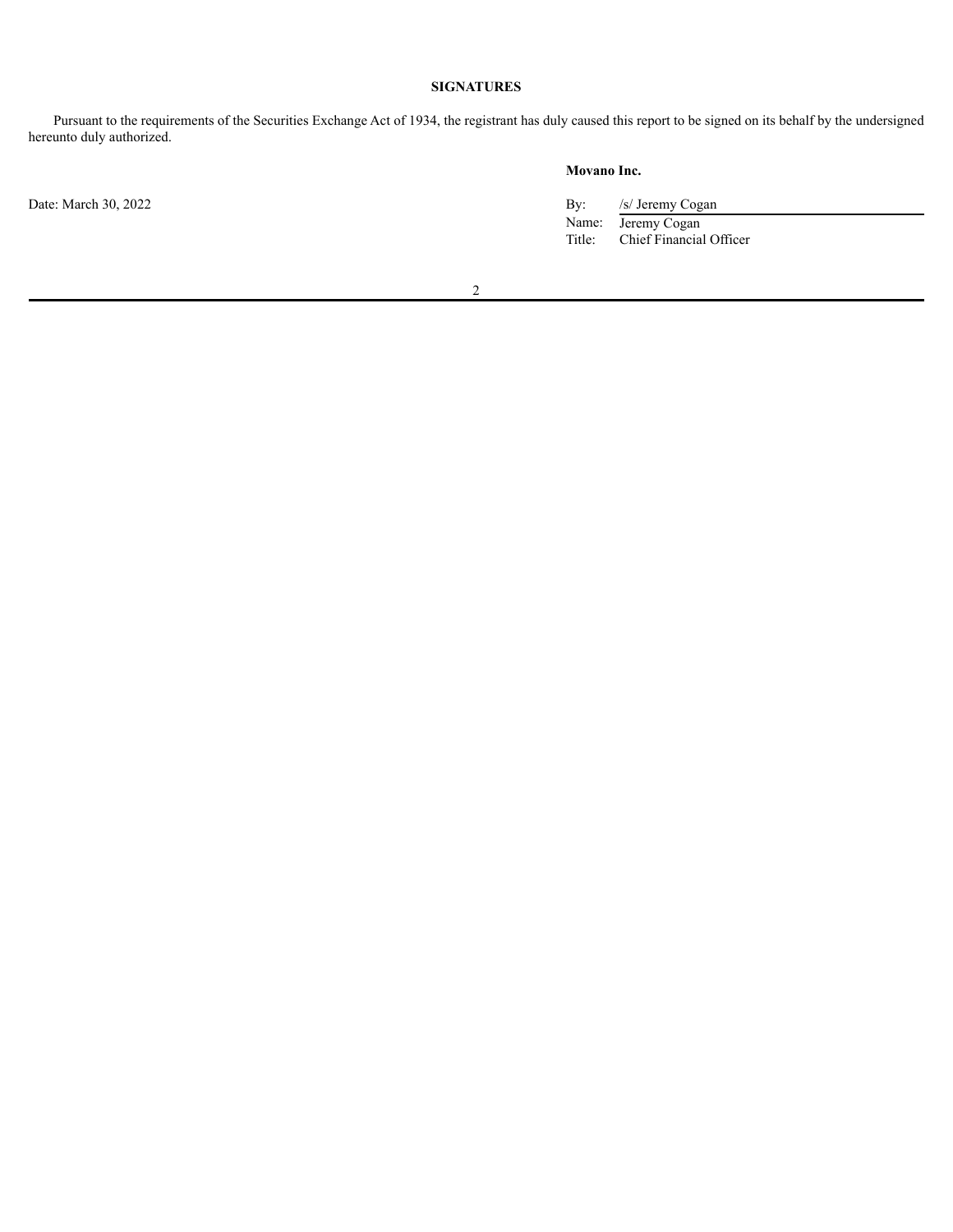# **SIGNATURES**

Pursuant to the requirements of the Securities Exchange Act of 1934, the registrant has duly caused this report to be signed on its behalf by the undersigned hereunto duly authorized.

Date: March 30, 2022

# **Movano Inc.**

| By:    | /s/ Jeremy Cogan        |
|--------|-------------------------|
| Name:  | Jeremy Cogan            |
| Title: | Chief Financial Officer |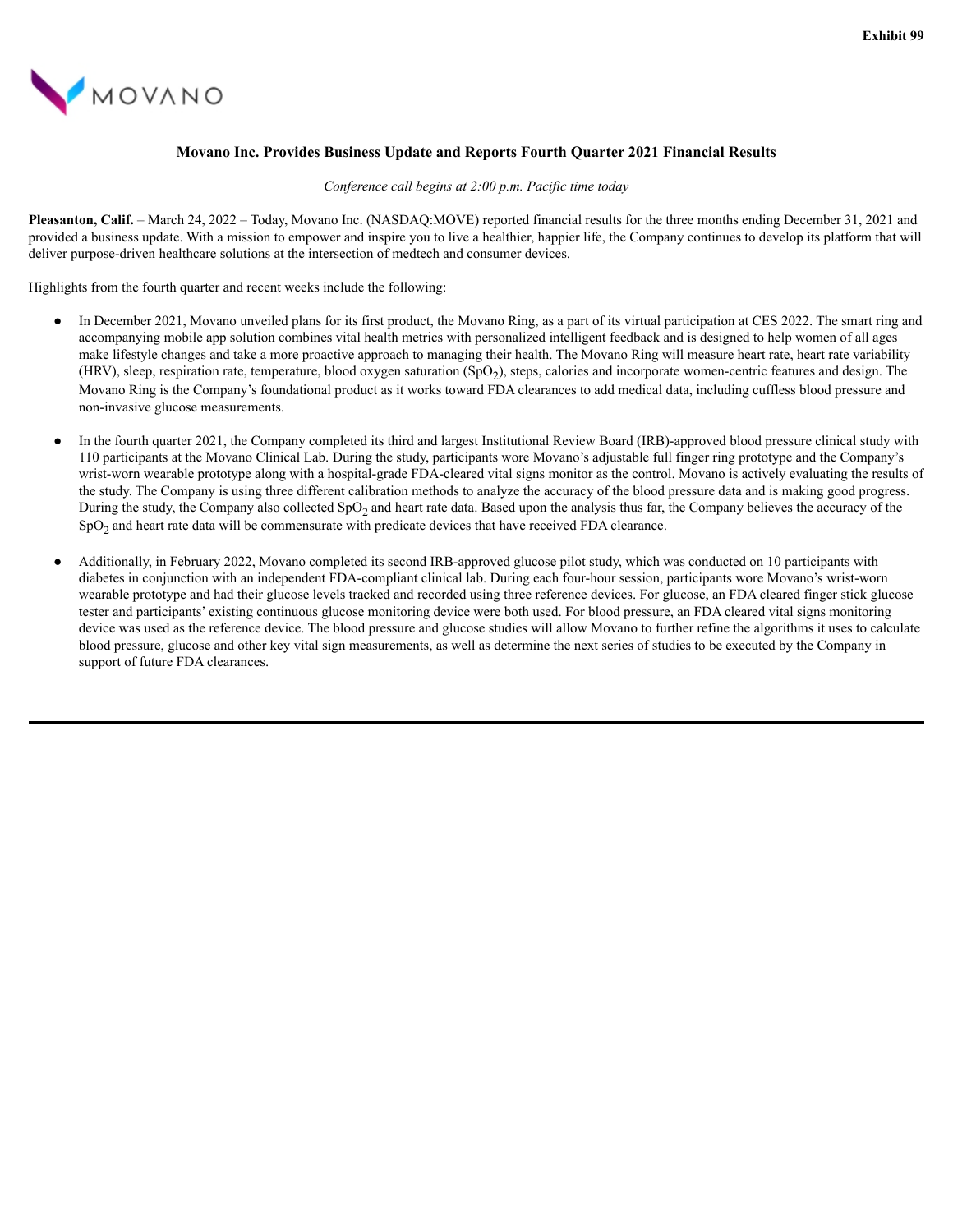<span id="page-3-0"></span>

# **Movano Inc. Provides Business Update and Reports Fourth Quarter 2021 Financial Results**

*Conference call begins at 2:00 p.m. Pacific time today*

**Pleasanton, Calif.** – March 24, 2022 – Today, Movano Inc. (NASDAQ:MOVE) reported financial results for the three months ending December 31, 2021 and provided a business update. With a mission to empower and inspire you to live a healthier, happier life, the Company continues to develop its platform that will deliver purpose-driven healthcare solutions at the intersection of medtech and consumer devices.

Highlights from the fourth quarter and recent weeks include the following:

- In December 2021, Movano unveiled plans for its first product, the Movano Ring, as a part of its virtual participation at CES 2022. The smart ring and accompanying mobile app solution combines vital health metrics with personalized intelligent feedback and is designed to help women of all ages make lifestyle changes and take a more proactive approach to managing their health. The Movano Ring will measure heart rate, heart rate variability (HRV), sleep, respiration rate, temperature, blood oxygen saturation (SpO<sub>2</sub>), steps, calories and incorporate women-centric features and design. The Movano Ring is the Company's foundational product as it works toward FDA clearances to add medical data, including cuffless blood pressure and non-invasive glucose measurements.
- In the fourth quarter 2021, the Company completed its third and largest Institutional Review Board (IRB)-approved blood pressure clinical study with 110 participants at the Movano Clinical Lab. During the study, participants wore Movano's adjustable full finger ring prototype and the Company's wrist-worn wearable prototype along with a hospital-grade FDA-cleared vital signs monitor as the control. Movano is actively evaluating the results of the study. The Company is using three different calibration methods to analyze the accuracy of the blood pressure data and is making good progress. During the study, the Company also collected  $SpO<sub>2</sub>$  and heart rate data. Based upon the analysis thus far, the Company believes the accuracy of the SpO<sub>2</sub> and heart rate data will be commensurate with predicate devices that have received FDA clearance.
- Additionally, in February 2022, Movano completed its second IRB-approved glucose pilot study, which was conducted on 10 participants with diabetes in conjunction with an independent FDA-compliant clinical lab. During each four-hour session, participants wore Movano's wrist-worn wearable prototype and had their glucose levels tracked and recorded using three reference devices. For glucose, an FDA cleared finger stick glucose tester and participants' existing continuous glucose monitoring device were both used. For blood pressure, an FDA cleared vital signs monitoring device was used as the reference device. The blood pressure and glucose studies will allow Movano to further refine the algorithms it uses to calculate blood pressure, glucose and other key vital sign measurements, as well as determine the next series of studies to be executed by the Company in support of future FDA clearances.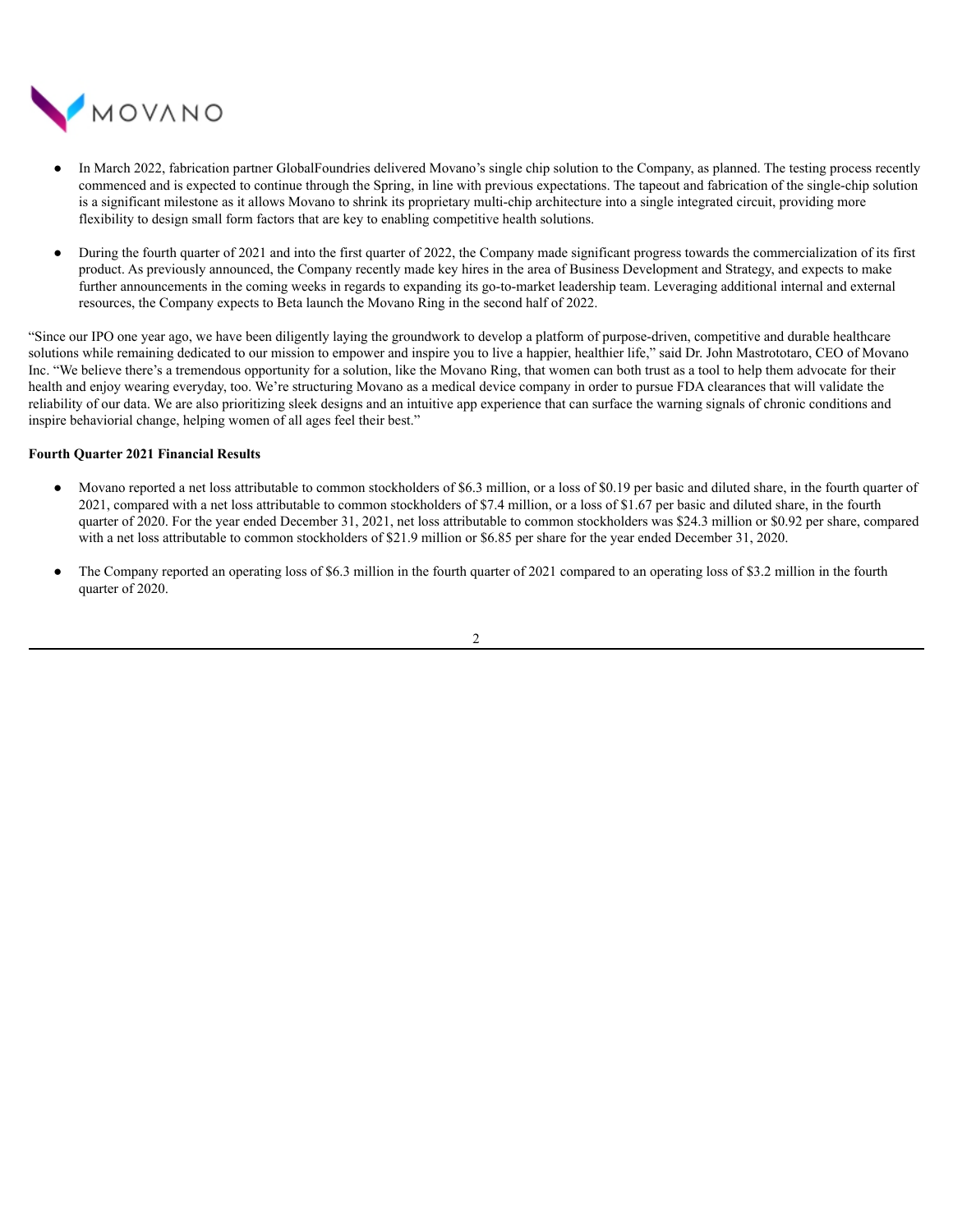

- In March 2022, fabrication partner GlobalFoundries delivered Movano's single chip solution to the Company, as planned. The testing process recently commenced and is expected to continue through the Spring, in line with previous expectations. The tapeout and fabrication of the single-chip solution is a significant milestone as it allows Movano to shrink its proprietary multi-chip architecture into a single integrated circuit, providing more flexibility to design small form factors that are key to enabling competitive health solutions.
- During the fourth quarter of 2021 and into the first quarter of 2022, the Company made significant progress towards the commercialization of its first product. As previously announced, the Company recently made key hires in the area of Business Development and Strategy, and expects to make further announcements in the coming weeks in regards to expanding its go-to-market leadership team. Leveraging additional internal and external resources, the Company expects to Beta launch the Movano Ring in the second half of 2022.

"Since our IPO one year ago, we have been diligently laying the groundwork to develop a platform of purpose-driven, competitive and durable healthcare solutions while remaining dedicated to our mission to empower and inspire you to live a happier, healthier life," said Dr. John Mastrototaro, CEO of Movano Inc. "We believe there's a tremendous opportunity for a solution, like the Movano Ring, that women can both trust as a tool to help them advocate for their health and enjoy wearing everyday, too. We're structuring Movano as a medical device company in order to pursue FDA clearances that will validate the reliability of our data. We are also prioritizing sleek designs and an intuitive app experience that can surface the warning signals of chronic conditions and inspire behaviorial change, helping women of all ages feel their best."

#### **Fourth Quarter 2021 Financial Results**

- Movano reported a net loss attributable to common stockholders of \$6.3 million, or a loss of \$0.19 per basic and diluted share, in the fourth quarter of 2021, compared with a net loss attributable to common stockholders of \$7.4 million, or a loss of \$1.67 per basic and diluted share, in the fourth quarter of 2020. For the year ended December 31, 2021, net loss attributable to common stockholders was \$24.3 million or \$0.92 per share, compared with a net loss attributable to common stockholders of \$21.9 million or \$6.85 per share for the year ended December 31, 2020.
- The Company reported an operating loss of \$6.3 million in the fourth quarter of 2021 compared to an operating loss of \$3.2 million in the fourth quarter of 2020.

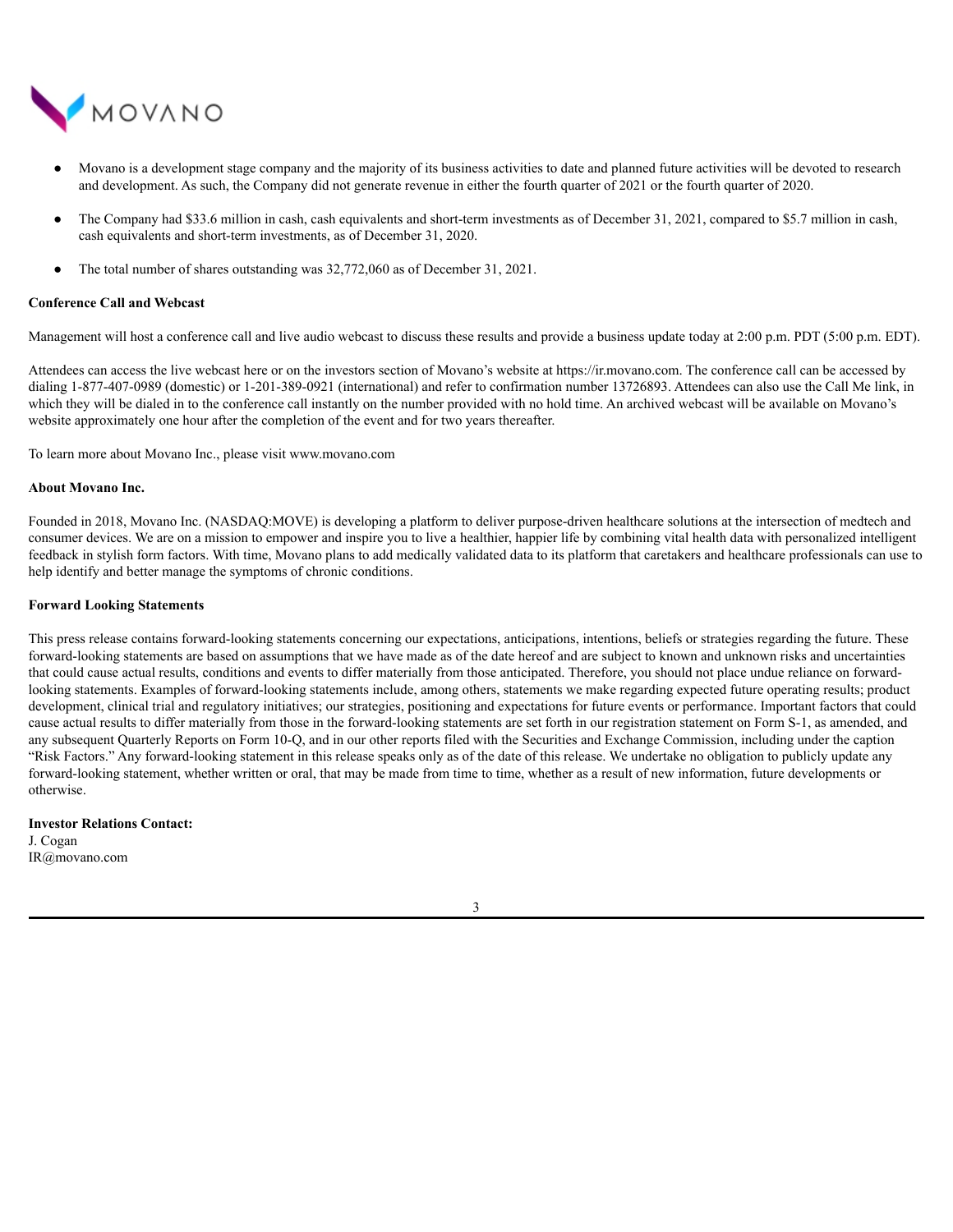

- Movano is a development stage company and the majority of its business activities to date and planned future activities will be devoted to research and development. As such, the Company did not generate revenue in either the fourth quarter of 2021 or the fourth quarter of 2020.
- The Company had \$33.6 million in cash, cash equivalents and short-term investments as of December 31, 2021, compared to \$5.7 million in cash, cash equivalents and short-term investments, as of December 31, 2020.
- The total number of shares outstanding was  $32,772,060$  as of December 31, 2021.

#### **Conference Call and Webcast**

Management will host a conference call and live audio webcast to discuss these results and provide a business update today at 2:00 p.m. PDT (5:00 p.m. EDT).

Attendees can access the live webcast here or on the investors section of Movano's website at https://ir.movano.com. The conference call can be accessed by dialing 1-877-407-0989 (domestic) or 1-201-389-0921 (international) and refer to confirmation number 13726893. Attendees can also use the Call Me link, in which they will be dialed in to the conference call instantly on the number provided with no hold time. An archived webcast will be available on Movano's website approximately one hour after the completion of the event and for two years thereafter.

To learn more about Movano Inc., please visit www.movano.com

#### **About Movano Inc.**

Founded in 2018, Movano Inc. (NASDAQ:MOVE) is developing a platform to deliver purpose-driven healthcare solutions at the intersection of medtech and consumer devices. We are on a mission to empower and inspire you to live a healthier, happier life by combining vital health data with personalized intelligent feedback in stylish form factors. With time, Movano plans to add medically validated data to its platform that caretakers and healthcare professionals can use to help identify and better manage the symptoms of chronic conditions.

#### **Forward Looking Statements**

This press release contains forward-looking statements concerning our expectations, anticipations, intentions, beliefs or strategies regarding the future. These forward-looking statements are based on assumptions that we have made as of the date hereof and are subject to known and unknown risks and uncertainties that could cause actual results, conditions and events to differ materially from those anticipated. Therefore, you should not place undue reliance on forwardlooking statements. Examples of forward-looking statements include, among others, statements we make regarding expected future operating results; product development, clinical trial and regulatory initiatives; our strategies, positioning and expectations for future events or performance. Important factors that could cause actual results to differ materially from those in the forward-looking statements are set forth in our registration statement on Form S-1, as amended, and any subsequent Quarterly Reports on Form 10-Q, and in our other reports filed with the Securities and Exchange Commission, including under the caption "Risk Factors." Any forward-looking statement in this release speaks only as of the date of this release. We undertake no obligation to publicly update any forward-looking statement, whether written or oral, that may be made from time to time, whether as a result of new information, future developments or otherwise.

#### **Investor Relations Contact:**

J. Cogan IR@movano.com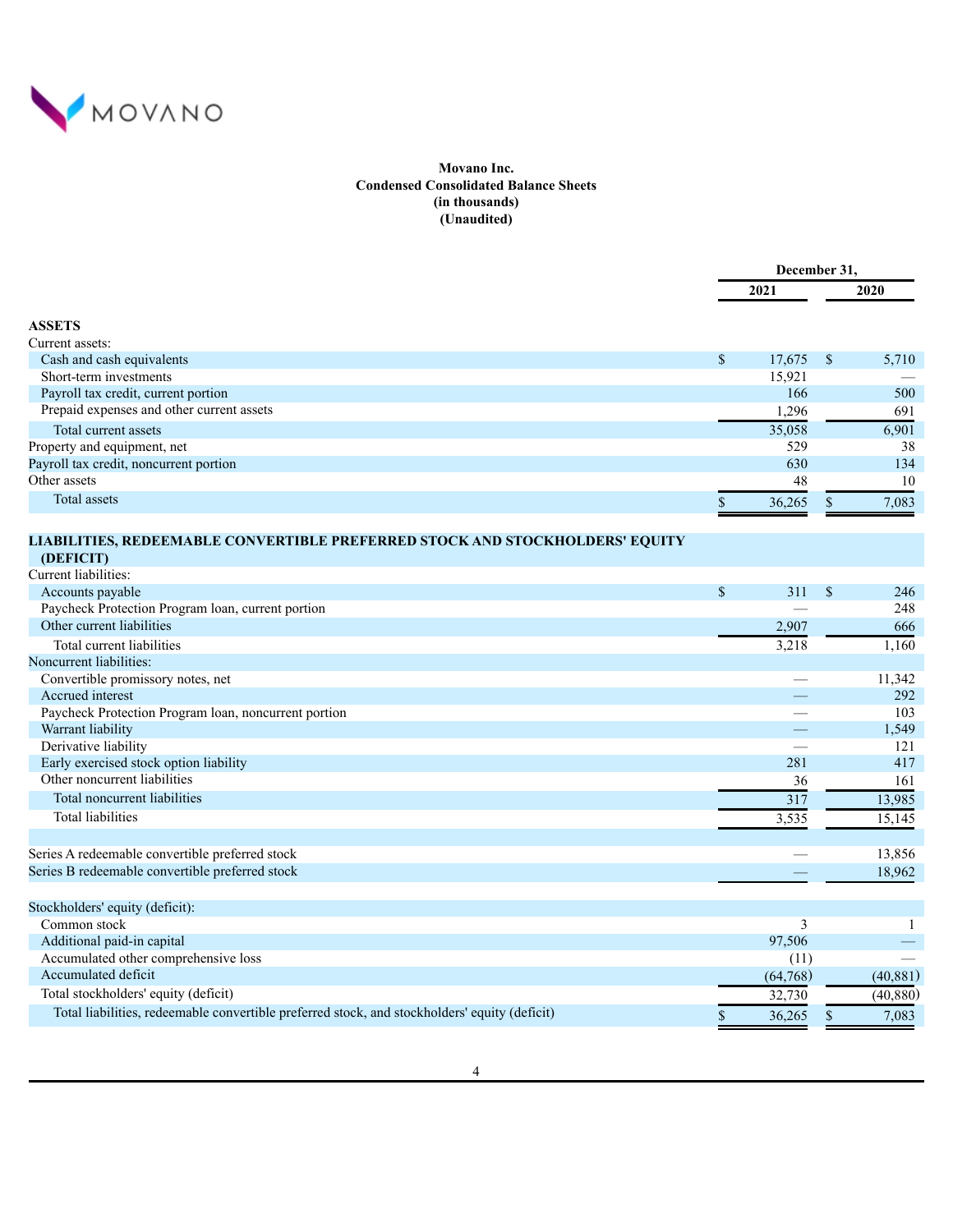

# **Movano Inc. Condensed Consolidated Balance Sheets (in thousands) (Unaudited)**

|                                           |    | December 31. |  |             |  |
|-------------------------------------------|----|--------------|--|-------------|--|
|                                           |    | 2021         |  | <b>2020</b> |  |
| <b>ASSETS</b>                             |    |              |  |             |  |
| Current assets:                           |    |              |  |             |  |
| Cash and cash equivalents                 | \$ | $17,675$ \$  |  | 5,710       |  |
| Short-term investments                    |    | 15,921       |  |             |  |
| Payroll tax credit, current portion       |    | 166          |  | 500         |  |
| Prepaid expenses and other current assets |    | 1,296        |  | 691         |  |
| Total current assets                      |    | 35,058       |  | 6,901       |  |
| Property and equipment, net               |    | 529          |  | 38          |  |
| Payroll tax credit, noncurrent portion    |    | 630          |  | 134         |  |
| Other assets                              |    | 48           |  | 10          |  |
| Total assets                              |    | 36,265       |  | 7,083       |  |

# **LIABILITIES, REDEEMABLE CONVERTIBLE PREFERRED STOCK AND STOCKHOLDERS' EQUITY**

**(DEFICIT)** Current liabilities: Accounts payable  $$ 311 \t S \t 246$ Paycheck Protection Program loan, current portion — 248 Other current liabilities 2,907 666 Total current liabilities and the state of the state of the state of the state of the state of the state of the state of the state of the state of the state of the state of the state of the state of the state of the state Noncurrent liabilities: Convertible promissory notes, net <br>  $\frac{11,342}{292}$ <br>
Accrued interest 292 Accrued interest **292** Paycheck Protection Program loan, noncurrent portion and the set of the set of the set of the set of the set of the set of the set of the set of the set of the set of the set of the set of the set of the set of the set of Warrant liability  $\sim$  1,549 Derivative liability and the set of the set of the set of the set of the set of the set of the set of the set of the set of the set of the set of the set of the set of the set of the set of the set of the set of the set of Early exercised stock option liability and the state of the state of the state of the state of the state of the state of the state of the state of the state of the state of the state of the state of the state of the state Other noncurrent liabilities 36 161 Total noncurrent liabilities 317 13,985 Total liabilities 3,535 15,145 Series A redeemable convertible preferred stock — 13,856 Series B redeemable convertible preferred stock and the state of the state of the state of the state of the state of the state of the state of the state of the state of the state of the state of the state of the state of t Stockholders' equity (deficit): Common stock 3 1 Additional paid-in capital 97,506  $\sim$  97,506  $\sim$  97,506  $\sim$  97,506  $\sim$  97,506  $\sim$  97,506  $\sim$  97,506  $\sim$  97,506  $\sim$  97,506  $\sim$  97,506  $\sim$  97,506  $\sim$  97,506  $\sim$  97,506  $\sim$  97,506  $\sim$  97,506  $\sim$  97,506  $\sim$  97, Accumulated other comprehensive loss (11) —  $(11)$ Accumulated deficit (64,768) (40,881)

Total stockholders' equity (deficit) 32,730 (40,880) Total liabilities, redeemable convertible preferred stock, and stockholders' equity (deficit)  $\frac{}{\sqrt{5}}$  36,265  $\frac{}{\sqrt{5}}$  7,083